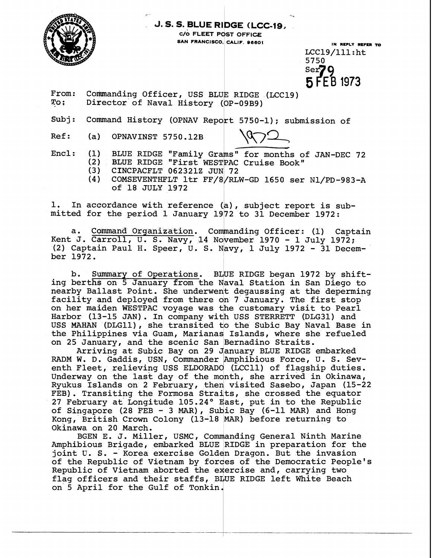

## **J. S. S. BLUE RIDGE (LCC-19,**

- %.

**C/O FLEET POST OFFICE** 

**IN REPLY RCFCR TO**  LCC19/111: ht 5750<br>Ser**70** 5 FEB 1973

From: Commanding Officer, USS BLUE RIDGE (LCC19)<br>To: Director of Naval History (OP-09B9) Director of Naval History (OP-09B9)

 $\begin{CD} \text{Subj: } & \text{Command History (OPNAV Report 5750-1); submission of} \ \text{Ref: } & \text{(a)} & \text{OPNAVINST 5750.12B} \end{CD}$ 

Encl:  $(1)$  BLUE RIDGE "Family Grams" for months of JAN-DEC 72 (2) BLUE RIDGE "First WESTPAC Cruise Book"<br>(3) CINCPACFLT 062321Z JUN 72

(3) CINCPACFLT 062321Z JUN 72<br>(4) COMSEVENTHFLT 1tr FF/8/RL

(4) COMSEVENTHFLT ltr FF/8/RLW-GD 1650 ser Nl/PD-983-A of 18 JULY 1972

1. In accordance with reference (a), subject report is submitted for the period 1 January 1972 to 31 December 1972:

a. Command Organization. Commanding Officer: (1) Captain Kent J. Carroll, U. S. Navy, 14 November 1970 - 1 July 1972; (2) Captain Paul H. Speer, U. S. 1 July 1972 - 31 December 1972.

b. Summary of Operations. BLUE RIDGE began 1972 by shifting berths on 5 January from the Naval Station in San Diego to nearby Ballast Point. She underwent degaussing at the deperming facility and deployed from there on 7 January. The first stop on her maiden WESTPAC voyage was the customary visit to Pearl Harbor (13-15 JAN). In company with USS STERRETT (DLG31) and USS MAHAN (DLG11), she transited to the Subic Bay Naval Base in the Philippines via Guam, Marianas Islands, where she refueled on 25 January, and the scenic San Bernadino Straits.

Arriving at Subic Bay on 29 January BLUE RIDGE embarked RADM W. D. Gaddis, USN, Commander Amphibious Force, U. S. Seventh Fleet, relieving USS ELDORADO (LCC11) of flagship duties. Underway on the last day of the month, she arrived in Okinawa, Ryukus Islands on 2 February, then visited Sasebo, Japan (15-22 FEB). Transiting the Formosa Straits, she crossed the equator 27 February at Longitude 105.24° East, put in to the Republic of Singapore (28 FEB - 3 MAR), Subic Bay (6-11 MAR) and Hong Okinawa on 20 March. Kong, British Crown Colony (13-18 MAR) before returning to n visited<br>its, she c<br>East, put<br>bic Bay (6<br>MAR) befo

BGEN E. J. Miller, USMC, Commanding General Ninth Marine Amphibious Brigade, embarked BLUE RIDGE in preparation for the joint **U. S.** - Korea exercise Golden Dragon. But the invasion of the Republic of Vietnam by forces of the Democratic People's Republic of Vietnam aborted the exercise and, carrying two flag officers and their staffs, BLUE RIDGE left White Beach on 5 April for the Gulf of Tonkin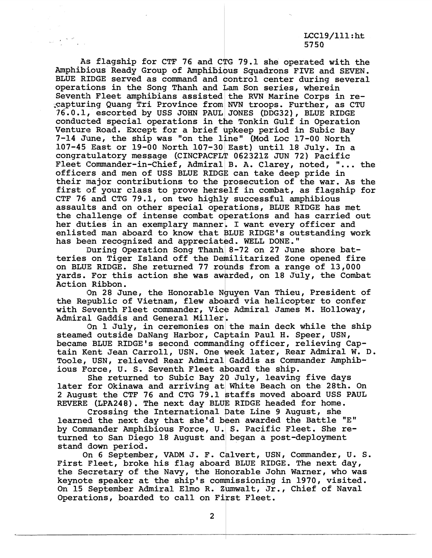## $LCC19/111:$ ht 5750

As flagship for CTF 76 and CTG 79.1 she operated with the Amphibious Ready Group of Amphibious Squadrons FIVE and SEVEN. BLUE RIDGE served as command and control center during several operations in the Song Thanh and Lam Son series, wherein Seventh Fleet amphibians assisted the RVN Marine Corps in re-,captur.ing Quang Tri Province from **NVN** troops. Further, as CTU 76.0.1, escorted by USS JOHN PAUL JONES (DDG321, BLUE RIDGE conducted special operations in the Tonkin Gulf in Operation Venture Road. Except for a brief upkeep period in Subic Bay<br>7-14 June, the ship was "on the line" (Mod Loc 17-00 North 107-45 East or 19-00 North 107-30 East) until 18 July. In a congratulatory message (CINCPACFLT 062321Z JUN 72) Pacific Fleet Commander-in-Chief, Admiral B. A. Clarey, noted,  $"...$  the officers and men of USS BLUE RIDGE can take deep pride in their inajor contributions to the prosecution of the war. As the first of your class to prove herself in combat, as flagship for CTF 76 and CTG 79.1, on two highly successful amphibious assaults and on other special operations, BLUE RIDGE has met the challenge of intense combat operations and has carried out her duties in an exemplary manner. I want every officer and enlisted man aboard to know that BLUE RIDGE's outstanding work has been recognized and appreciated. WELL DONE."

During Operation Song Thanh 8-72 on 27 June shore batteries on Tiger Island off the Demilitarized Zone opened fire on BLUE RIDGE. She returned 77 rounds from a range of 13,000 yards. For this action she was awarded, on 18 July, the Combat Action Ribbon.

On 28 June, the Honorable Nguyen Van Thieu, President of the Republic of Vietnam, flew aboard via helicopter to confer with Seventh Fleet commander, Vice Admiral James M. Holloway, Admiral Gaddis and General Miller.

On 1 July, in ceremonies on the main deck while the ship steamed outside DaNang Harbor, Captain Paul H. Speer, USN, became BLUE RIDGE'S second commanding officer, relieving Captain Kent Jean Carroll, USN. One week later, Rear Admiral W. D. Toole, USN, relieved Rear Admiral Gaddis as Commander Amphibious Force, U. S. Seventh Fleet aboard the ship.

She returned to Subic Bay 20 July, leaving five days later for Okinawa and arriving at White Beach on the 28th. On 2 August the CTF 76 and CTG 79.1 1 taffs moved aboard USS PAUL 2 August the CTF 76 and CTG 79.1 staffs moved aboard USS :<br>REVERE (LPA248). The next day BLUE RIDGE headed for home.

Crossing the International Date Line 9 August, she learned the next day that she'd been awarded the Battle "E" by Commander Amphibious Force, U. S. Pacific Fleet. She returned to San Diego 18 August and began a post-deployment stand down period.

On 6 September, VADM J. F. Calvert, USN, Commander, U. S. First Fleet, broke his flag aboard BLUE RIDGE. The next day, the Secretary of the Navy, the Honorable John Warner, who was keynote speaker at the ship's commissioning in 1970, visited. On 15 September Admiral Elmo R. Zumwalt, Jr., Chief of Naval Operations, boarded to call on First Fleet.

 $\overline{2}$